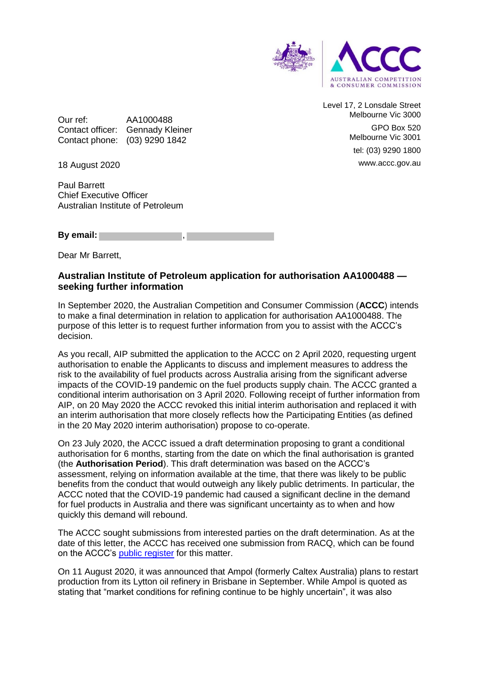

Level 17, 2 Lonsdale Street

Melbourne Vic 3000

GPO Box 520 Melbourne Vic 3001 tel: (03) 9290 1800 www.accc.gov.au

Our ref: AA1000488 Contact officer: Gennady Kleiner Contact phone: (03) 9290 1842

18 August 2020

Paul Barrett Chief Executive Officer Australian Institute of Petroleum

**By email:** ,

Dear Mr Barrett,

## **Australian Institute of Petroleum application for authorisation AA1000488 seeking further information**

In September 2020, the Australian Competition and Consumer Commission (**ACCC**) intends to make a final determination in relation to application for authorisation AA1000488. The purpose of this letter is to request further information from you to assist with the ACCC's decision.

As you recall, AIP submitted the application to the ACCC on 2 April 2020, requesting urgent authorisation to enable the Applicants to discuss and implement measures to address the risk to the availability of fuel products across Australia arising from the significant adverse impacts of the COVID-19 pandemic on the fuel products supply chain. The ACCC granted a conditional interim authorisation on 3 April 2020. Following receipt of further information from AIP, on 20 May 2020 the ACCC revoked this initial interim authorisation and replaced it with an interim authorisation that more closely reflects how the Participating Entities (as defined in the 20 May 2020 interim authorisation) propose to co-operate.

On 23 July 2020, the ACCC issued a draft determination proposing to grant a conditional authorisation for 6 months, starting from the date on which the final authorisation is granted (the **Authorisation Period**). This draft determination was based on the ACCC's assessment, relying on information available at the time, that there was likely to be public benefits from the conduct that would outweigh any likely public detriments. In particular, the ACCC noted that the COVID-19 pandemic had caused a significant decline in the demand for fuel products in Australia and there was significant uncertainty as to when and how quickly this demand will rebound.

The ACCC sought submissions from interested parties on the draft determination. As at the date of this letter, the ACCC has received one submission from RACQ, which can be found on the ACCC's public register for this matter.

On 11 August 2020, it was announced that Ampol (formerly Caltex Australia) plans to restart production from its Lytton oil refinery in Brisbane in September. While Ampol is quoted as stating that "market conditions for refining continue to be highly uncertain", it was also